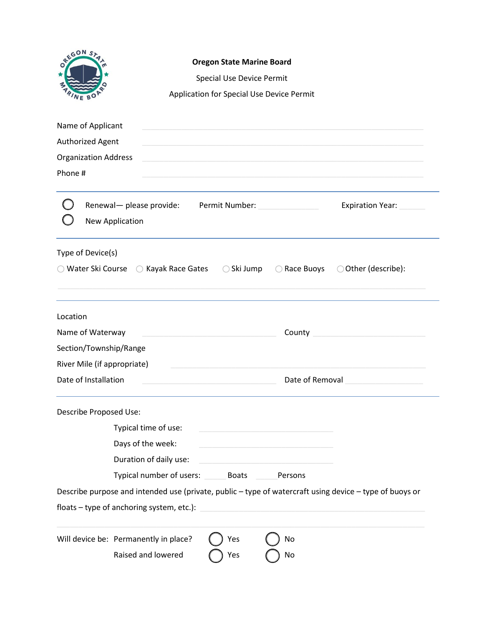| OREGUN ST                                                                       | <b>Oregon State Marine Board</b><br><b>Special Use Device Permit</b><br>Application for Special Use Device Permit |            |                                                                                                     |                                                                                                         |  |  |
|---------------------------------------------------------------------------------|-------------------------------------------------------------------------------------------------------------------|------------|-----------------------------------------------------------------------------------------------------|---------------------------------------------------------------------------------------------------------|--|--|
|                                                                                 |                                                                                                                   |            |                                                                                                     |                                                                                                         |  |  |
| Name of Applicant<br>Authorized Agent<br><b>Organization Address</b><br>Phone # |                                                                                                                   |            | the contract of the contract of the contract of the contract of the contract of the contract of the |                                                                                                         |  |  |
|                                                                                 | Renewal- please provide:<br><b>New Application</b>                                                                |            | Permit Number: North and Search and Search                                                          | Expiration Year:                                                                                        |  |  |
| Type of Device(s)                                                               | $\bigcirc$ Water Ski Course $\bigcirc$ Kayak Race Gates $\bigcirc$ Ski Jump                                       |            | Race Buoys<br>$\left(\begin{array}{c} \end{array}\right)$                                           | ○ Other (describe):                                                                                     |  |  |
| Location                                                                        |                                                                                                                   |            |                                                                                                     |                                                                                                         |  |  |
| Name of Waterway                                                                |                                                                                                                   |            | County                                                                                              | <u> 1989 - Johann Barbara, martxa al</u>                                                                |  |  |
| Section/Township/Range                                                          |                                                                                                                   |            |                                                                                                     |                                                                                                         |  |  |
| River Mile (if appropriate)                                                     |                                                                                                                   |            |                                                                                                     |                                                                                                         |  |  |
|                                                                                 | Date of Installation<br>Date of Removal                                                                           |            |                                                                                                     |                                                                                                         |  |  |
| Describe Proposed Use:                                                          |                                                                                                                   |            |                                                                                                     |                                                                                                         |  |  |
|                                                                                 | Typical time of use:                                                                                              |            |                                                                                                     |                                                                                                         |  |  |
|                                                                                 | Days of the week:                                                                                                 |            |                                                                                                     |                                                                                                         |  |  |
|                                                                                 | Duration of daily use:                                                                                            |            |                                                                                                     |                                                                                                         |  |  |
|                                                                                 | Typical number of users: Boats                                                                                    |            | Persons                                                                                             |                                                                                                         |  |  |
|                                                                                 |                                                                                                                   |            |                                                                                                     | Describe purpose and intended use (private, public - type of watercraft using device - type of buoys or |  |  |
|                                                                                 | floats - type of anchoring system, etc.):                                                                         |            |                                                                                                     |                                                                                                         |  |  |
|                                                                                 | Will device be: Permanently in place?<br>Raised and lowered                                                       | Yes<br>Yes | No<br>No                                                                                            |                                                                                                         |  |  |